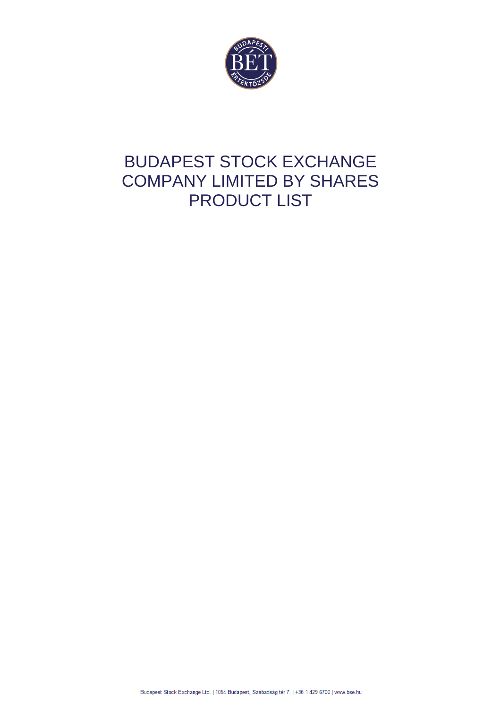

# BUDAPEST STOCK EXCHANGE COMPANY LIMITED BY SHARES PRODUCT LIST

Budapest Stock Exchange Ltd. | 1054 Budapest, Szabadság tér 7. | +36 1 429 6700 | www.bse.hu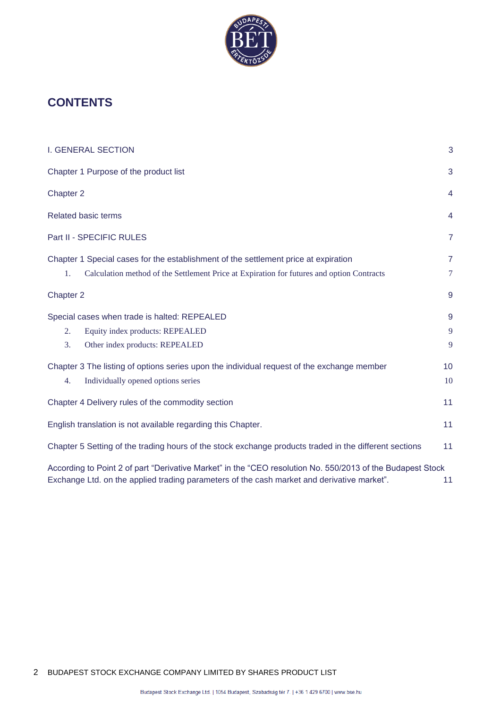

# **CONTENTS**

| <b>I. GENERAL SECTION</b>                                                                                    | 3              |
|--------------------------------------------------------------------------------------------------------------|----------------|
| Chapter 1 Purpose of the product list                                                                        | 3              |
| Chapter 2                                                                                                    | 4              |
| <b>Related basic terms</b>                                                                                   | 4              |
| Part II - SPECIFIC RULES                                                                                     | 7              |
| Chapter 1 Special cases for the establishment of the settlement price at expiration                          | $\overline{7}$ |
| Calculation method of the Settlement Price at Expiration for futures and option Contracts<br>1.<br>Chapter 2 | 7<br>9         |
| Special cases when trade is halted: REPEALED                                                                 | 9              |
| Equity index products: REPEALED<br>2.                                                                        | 9              |
| 3.<br>Other index products: REPEALED                                                                         | 9              |
| Chapter 3 The listing of options series upon the individual request of the exchange member                   | 10             |
| Individually opened options series<br>4.                                                                     | 10             |
| Chapter 4 Delivery rules of the commodity section                                                            | 11             |
| English translation is not available regarding this Chapter.                                                 | 11             |
| Chapter 5 Setting of the trading hours of the stock exchange products traded in the different sections       | 11             |
| According to Point 2 of part "Derivative Market" in the "CEO resolution No. 550/2013 of the Budapest Stock   |                |
| Exchange Ltd. on the applied trading parameters of the cash market and derivative market".                   | 11             |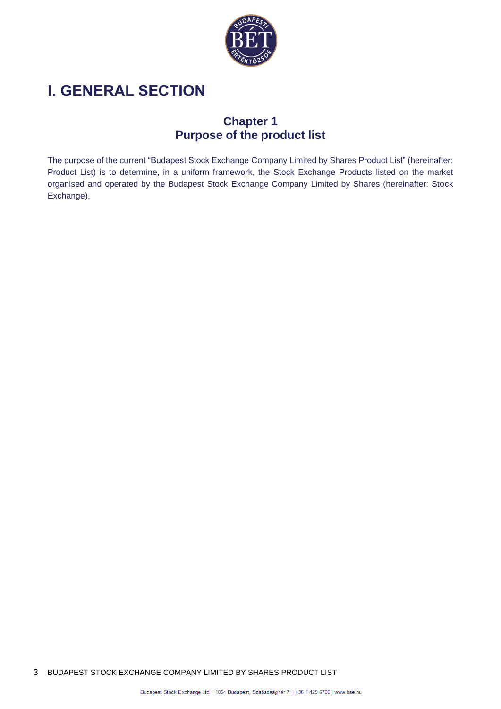

# <span id="page-2-1"></span><span id="page-2-0"></span>**I. GENERAL SECTION**

### **Chapter 1 Purpose of the product list**

The purpose of the current "Budapest Stock Exchange Company Limited by Shares Product List" (hereinafter: Product List) is to determine, in a uniform framework, the Stock Exchange Products listed on the market organised and operated by the Budapest Stock Exchange Company Limited by Shares (hereinafter: Stock Exchange).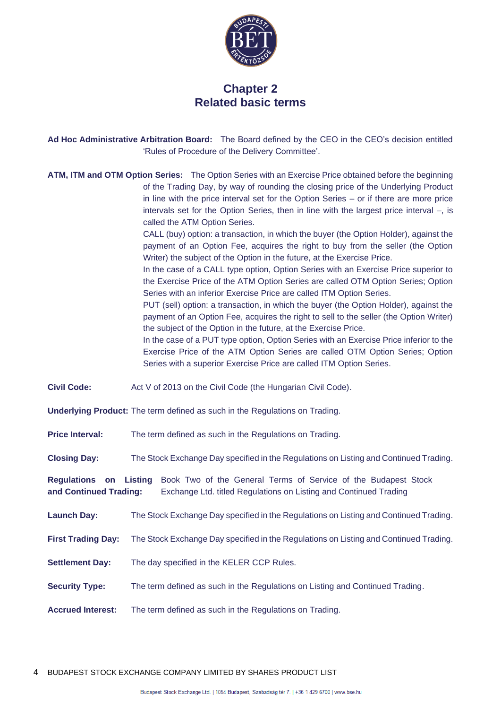

#### **Chapter 2 Related basic terms**

<span id="page-3-1"></span><span id="page-3-0"></span>**Ad Hoc Administrative Arbitration Board:** The Board defined by the CEO in the CEO's decision entitled 'Rules of Procedure of the Delivery Committee'.

**ATM, ITM and OTM Option Series:** The Option Series with an Exercise Price obtained before the beginning of the Trading Day, by way of rounding the closing price of the Underlying Product in line with the price interval set for the Option Series – or if there are more price intervals set for the Option Series, then in line with the largest price interval –, is called the ATM Option Series.

> CALL (buy) option: a transaction, in which the buyer (the Option Holder), against the payment of an Option Fee, acquires the right to buy from the seller (the Option Writer) the subject of the Option in the future, at the Exercise Price.

> In the case of a CALL type option, Option Series with an Exercise Price superior to the Exercise Price of the ATM Option Series are called OTM Option Series; Option Series with an inferior Exercise Price are called ITM Option Series.

> PUT (sell) option: a transaction, in which the buyer (the Option Holder), against the payment of an Option Fee, acquires the right to sell to the seller (the Option Writer) the subject of the Option in the future, at the Exercise Price.

> In the case of a PUT type option, Option Series with an Exercise Price inferior to the Exercise Price of the ATM Option Series are called OTM Option Series; Option Series with a superior Exercise Price are called ITM Option Series.

**Civil Code:** Act V of 2013 on the Civil Code (the Hungarian Civil Code).

**Underlying Product:** The term defined as such in the Regulations on Trading.

**Price Interval:** The term defined as such in the Regulations on Trading.

**Closing Day:** The Stock Exchange Day specified in the Regulations on Listing and Continued Trading.

**Regulations on Listing**  Book Two of the General Terms of Service of the Budapest Stock **and Continued Trading:** Exchange Ltd. titled Regulations on Listing and Continued Trading

**Launch Day:** The Stock Exchange Day specified in the Regulations on Listing and Continued Trading.

**First Trading Day:** The Stock Exchange Day specified in the Regulations on Listing and Continued Trading.

**Settlement Day:** The day specified in the KELER CCP Rules.

**Security Type:** The term defined as such in the Regulations on Listing and Continued Trading.

**Accrued Interest:** The term defined as such in the Regulations on Trading.

4 BUDAPEST STOCK EXCHANGE COMPANY LIMITED BY SHARES PRODUCT LIST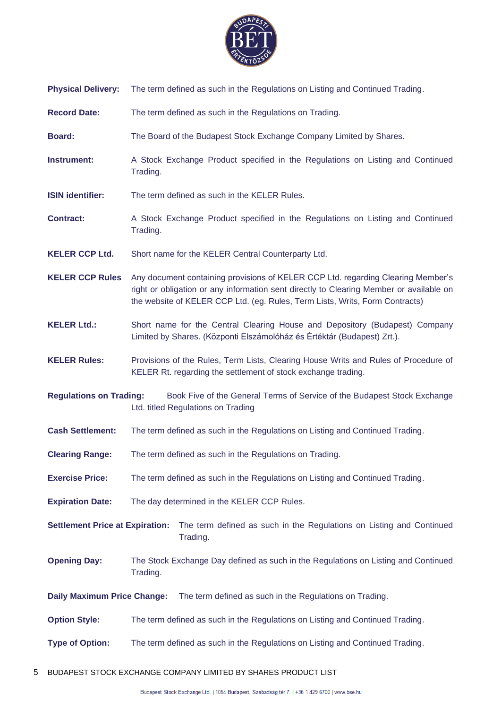

- **Physical Delivery:** The term defined as such in the Regulations on Listing and Continued Trading.
- **Record Date:** The term defined as such in the Regulations on Trading.
- **Board:** The Board of the Budapest Stock Exchange Company Limited by Shares.
- **Instrument:** A Stock Exchange Product specified in the Regulations on Listing and Continued Trading.
- **ISIN identifier:** The term defined as such in the KELER Rules.
- **Contract:** A Stock Exchange Product specified in the Regulations on Listing and Continued Trading.
- **KELER CCP Ltd.** Short name for the KELER Central Counterparty Ltd.
- **KELER CCP Rules** Any document containing provisions of KELER CCP Ltd. regarding Clearing Member's right or obligation or any information sent directly to Clearing Member or available on the website of KELER CCP Ltd. (eg. Rules, Term Lists, Writs, Form Contracts)
- **KELER Ltd.:** Short name for the Central Clearing House and Depository (Budapest) Company Limited by Shares. (Központi Elszámolóház és Értéktár (Budapest) Zrt.).
- **KELER Rules:** Provisions of the Rules, Term Lists, Clearing House Writs and Rules of Procedure of KELER Rt. regarding the settlement of stock exchange trading.
- **Regulations on Trading:** Book Five of the General Terms of Service of the Budapest Stock Exchange Ltd. titled Regulations on Trading
- **Cash Settlement:** The term defined as such in the Regulations on Listing and Continued Trading.
- **Clearing Range:** The term defined as such in the Regulations on Trading.
- **Exercise Price:** The term defined as such in the Regulations on Listing and Continued Trading.
- **Expiration Date:** The day determined in the KELER CCP Rules.
- **Settlement Price at Expiration:** The term defined as such in the Regulations on Listing and Continued Trading.
- **Opening Day:** The Stock Exchange Day defined as such in the Regulations on Listing and Continued Trading.
- **Daily Maximum Price Change:** The term defined as such in the Regulations on Trading.
- **Option Style:** The term defined as such in the Regulations on Listing and Continued Trading.
- **Type of Option:** The term defined as such in the Regulations on Listing and Continued Trading.
- 5 BUDAPEST STOCK EXCHANGE COMPANY LIMITED BY SHARES PRODUCT LIST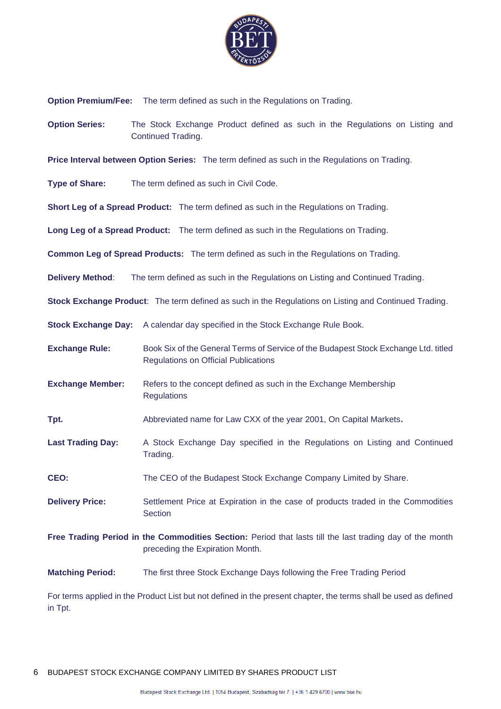

**Option Premium/Fee:** The term defined as such in the Regulations on Trading.

**Option Series:** The Stock Exchange Product defined as such in the Regulations on Listing and Continued Trading.

**Price Interval between Option Series:** The term defined as such in the Regulations on Trading.

**Type of Share:** The term defined as such in Civil Code.

**Short Leg of a Spread Product:** The term defined as such in the Regulations on Trading.

**Long Leg of a Spread Product:** The term defined as such in the Regulations on Trading.

**Common Leg of Spread Products:** The term defined as such in the Regulations on Trading.

**Delivery Method**: The term defined as such in the Regulations on Listing and Continued Trading.

**Stock Exchange Product**: The term defined as such in the Regulations on Listing and Continued Trading.

**Stock Exchange Day:** A calendar day specified in the Stock Exchange Rule Book.

**Exchange Rule:** Book Six of the General Terms of Service of the Budapest Stock Exchange Ltd. titled Regulations on Official Publications

**Exchange Member:** Refers to the concept defined as such in the Exchange Membership **Regulations** 

**Tpt.** Abbreviated name for Law CXX of the year 2001, On Capital Markets**.**

**Last Trading Day:** A Stock Exchange Day specified in the Regulations on Listing and Continued Trading.

**CEO:** The CEO of the Budapest Stock Exchange Company Limited by Share.

- **Delivery Price:** Settlement Price at Expiration in the case of products traded in the Commodities **Section**
- **Free Trading Period in the Commodities Section:** Period that lasts till the last trading day of the month preceding the Expiration Month.
- **Matching Period:** The first three Stock Exchange Days following the Free Trading Period

For terms applied in the Product List but not defined in the present chapter, the terms shall be used as defined in Tpt.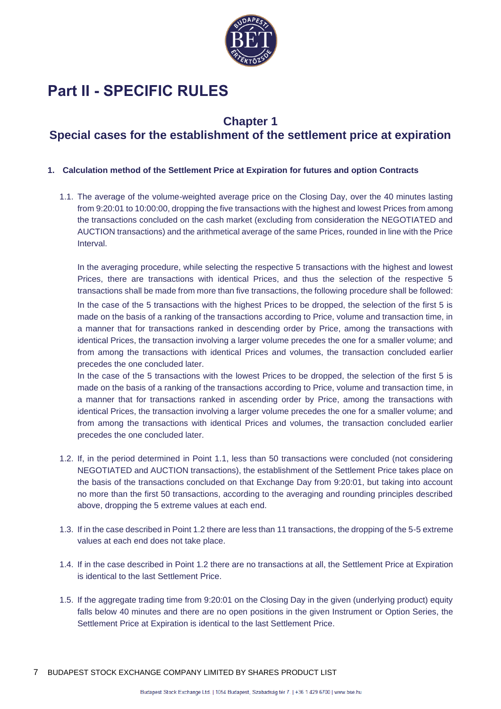

# <span id="page-6-0"></span>**Part II - SPECIFIC RULES**

#### **Chapter 1**

# <span id="page-6-1"></span>**Special cases for the establishment of the settlement price at expiration**

#### <span id="page-6-2"></span>**1. Calculation method of the Settlement Price at Expiration for futures and option Contracts**

1.1. The average of the volume-weighted average price on the Closing Day, over the 40 minutes lasting from 9:20:01 to 10:00:00, dropping the five transactions with the highest and lowest Prices from among the transactions concluded on the cash market (excluding from consideration the NEGOTIATED and AUCTION transactions) and the arithmetical average of the same Prices, rounded in line with the Price Interval.

In the averaging procedure, while selecting the respective 5 transactions with the highest and lowest Prices, there are transactions with identical Prices, and thus the selection of the respective 5 transactions shall be made from more than five transactions, the following procedure shall be followed: In the case of the 5 transactions with the highest Prices to be dropped, the selection of the first 5 is made on the basis of a ranking of the transactions according to Price, volume and transaction time, in a manner that for transactions ranked in descending order by Price, among the transactions with identical Prices, the transaction involving a larger volume precedes the one for a smaller volume; and from among the transactions with identical Prices and volumes, the transaction concluded earlier precedes the one concluded later.

In the case of the 5 transactions with the lowest Prices to be dropped, the selection of the first 5 is made on the basis of a ranking of the transactions according to Price, volume and transaction time, in a manner that for transactions ranked in ascending order by Price, among the transactions with identical Prices, the transaction involving a larger volume precedes the one for a smaller volume; and from among the transactions with identical Prices and volumes, the transaction concluded earlier precedes the one concluded later.

- 1.2. If, in the period determined in Point 1.1, less than 50 transactions were concluded (not considering NEGOTIATED and AUCTION transactions), the establishment of the Settlement Price takes place on the basis of the transactions concluded on that Exchange Day from 9:20:01, but taking into account no more than the first 50 transactions, according to the averaging and rounding principles described above, dropping the 5 extreme values at each end.
- 1.3. If in the case described in Point 1.2 there are less than 11 transactions, the dropping of the 5-5 extreme values at each end does not take place.
- 1.4. If in the case described in Point 1.2 there are no transactions at all, the Settlement Price at Expiration is identical to the last Settlement Price.
- 1.5. If the aggregate trading time from 9:20:01 on the Closing Day in the given (underlying product) equity falls below 40 minutes and there are no open positions in the given Instrument or Option Series, the Settlement Price at Expiration is identical to the last Settlement Price.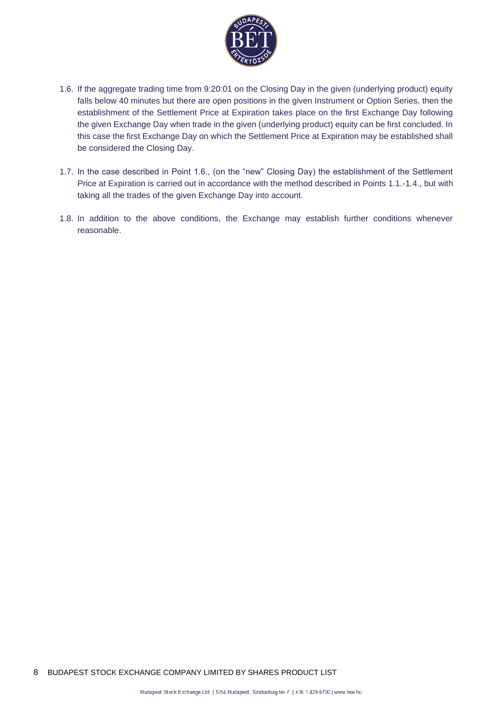

- 1.6. If the aggregate trading time from 9:20:01 on the Closing Day in the given (underlying product) equity falls below 40 minutes but there are open positions in the given Instrument or Option Series, then the establishment of the Settlement Price at Expiration takes place on the first Exchange Day following the given Exchange Day when trade in the given (underlying product) equity can be first concluded. In this case the first Exchange Day on which the Settlement Price at Expiration may be established shall be considered the Closing Day.
- 1.7. In the case described in Point 1.6., (on the "new" Closing Day) the establishment of the Settlement Price at Expiration is carried out in accordance with the method described in Points 1.1.-1.4., but with taking all the trades of the given Exchange Day into account.
- 1.8. In addition to the above conditions, the Exchange may establish further conditions whenever reasonable.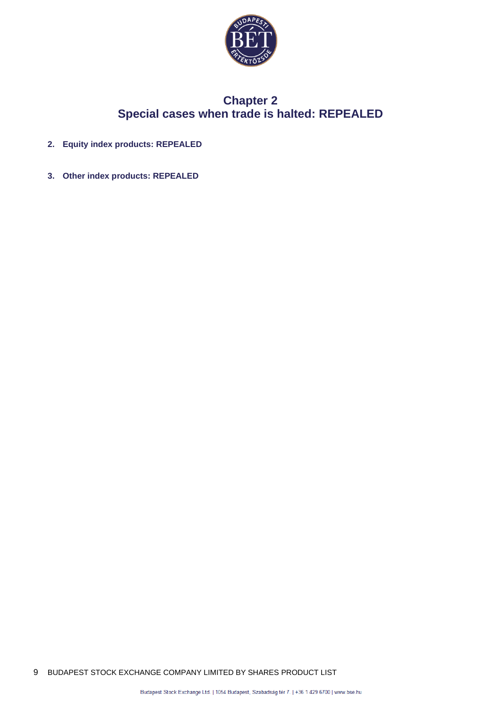

### **Chapter 2 Special cases when trade is halted: REPEALED**

- <span id="page-8-2"></span><span id="page-8-1"></span><span id="page-8-0"></span>**2. Equity index products: REPEALED**
- <span id="page-8-3"></span>**3. Other index products: REPEALED**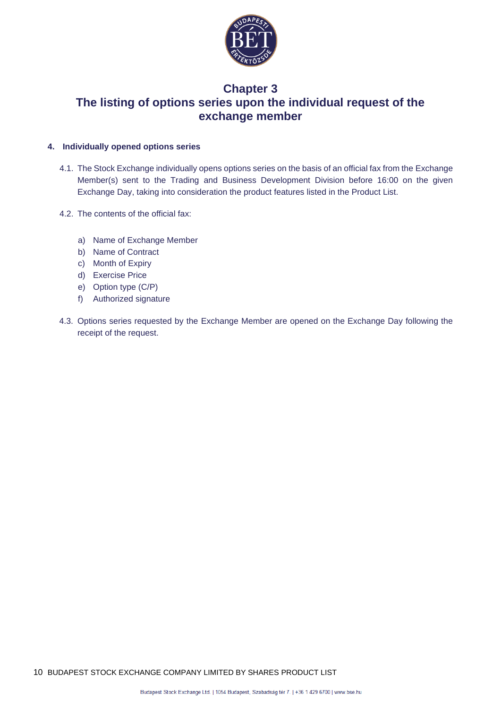

### <span id="page-9-0"></span>**Chapter 3 The listing of options series upon the individual request of the exchange member**

#### <span id="page-9-1"></span>**4. Individually opened options series**

- 4.1. The Stock Exchange individually opens options series on the basis of an official fax from the Exchange Member(s) sent to the Trading and Business Development Division before 16:00 on the given Exchange Day, taking into consideration the product features listed in the Product List.
- 4.2. The contents of the official fax:
	- a) Name of Exchange Member
	- b) Name of Contract
	- c) Month of Expiry
	- d) Exercise Price
	- e) Option type (C/P)
	- f) Authorized signature
- 4.3. Options series requested by the Exchange Member are opened on the Exchange Day following the receipt of the request.